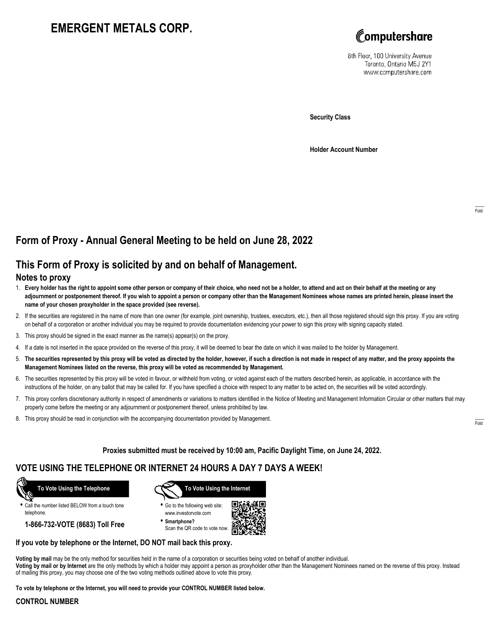# **EMERGENT METALS CORP.**



8th Floor, 100 University Avenue Toronto, Ontario M5J 2Y1 www.computershare.com

**Security Class**

**Holder Account Number**

## **Form of Proxy - Annual General Meeting to be held on June 28, 2022**

## **This Form of Proxy is solicited by and on behalf of Management.**

#### **Notes to proxy**

- 1. **Every holder has the right to appoint some other person or company of their choice, who need not be a holder, to attend and act on their behalf at the meeting or any adjournment or postponement thereof. If you wish to appoint a person or company other than the Management Nominees whose names are printed herein, please insert the name of your chosen proxyholder in the space provided (see reverse).**
- 2. If the securities are registered in the name of more than one owner (for example, joint ownership, trustees, executors, etc.), then all those registered should sign this proxy. If you are voting on behalf of a corporation or another individual you may be required to provide documentation evidencing your power to sign this proxy with signing capacity stated.
- 3. This proxy should be signed in the exact manner as the name(s) appear(s) on the proxy.
- 4. If a date is not inserted in the space provided on the reverse of this proxy, it will be deemed to bear the date on which it was mailed to the holder by Management.
- 5. **The securities represented by this proxy will be voted as directed by the holder, however, if such a direction is not made in respect of any matter, and the proxy appoints the Management Nominees listed on the reverse, this proxy will be voted as recommended by Management.**
- 6. The securities represented by this proxy will be voted in favour, or withheld from voting, or voted against each of the matters described herein, as applicable, in accordance with the instructions of the holder, on any ballot that may be called for. If you have specified a choice with respect to any matter to be acted on, the securities will be voted accordingly.
- 7. This proxy confers discretionary authority in respect of amendments or variations to matters identified in the Notice of Meeting and Management Information Circular or other matters that may properly come before the meeting or any adjournment or postponement thereof, unless prohibited by law.
- 8. This proxy should be read in conjunction with the accompanying documentation provided by Management.

**Proxies submitted must be received by 10:00 am, Pacific Daylight Time, on June 24, 2022.**

## **VOTE USING THE TELEPHONE OR INTERNET 24 HOURS A DAY 7 DAYS A WEEK!**



**•** Call the number listed BELOW from a touch tone telephone.

**1-866-732-VOTE (8683) Toll Free**



**•** Go to the following web site: www.investorvote.com

**• Smartphone?** Scan the QR code to vote now.



#### **If you vote by telephone or the Internet, DO NOT mail back this proxy.**

**Voting by mail** may be the only method for securities held in the name of a corporation or securities being voted on behalf of another individual. **Voting by mail or by Internet** are the only methods by which a holder may appoint a person as proxyholder other than the Management Nominees named on the reverse of this proxy. Instead of mailing this proxy, you may choose one of the two voting methods outlined above to vote this proxy.

**To vote by telephone or the Internet, you will need to provide your CONTROL NUMBER listed below.**

#### **CONTROL NUMBER**